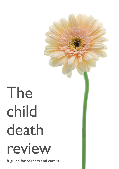# The child death review

**A guide for parents and carers**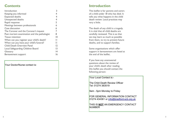# **Contents**

| Introduction                                |    |  |
|---------------------------------------------|----|--|
| Keeping you informed                        |    |  |
| <b>Expected deaths</b>                      | 4  |  |
| Unexpected deaths                           | 4  |  |
| Rapid response                              | 5  |  |
| Meetings between professionals              | 6  |  |
| Case discussion                             | 6  |  |
| The Coroner and the Coroner's inquest       | 7  |  |
| Post mortem examination and the pathologist | 8  |  |
| <b>Tissue retention</b>                     | 10 |  |
| When can you register your child's death?   |    |  |
| When can you have your child's funeral?     |    |  |
| <b>Child Death Overview Panel</b>           | 12 |  |
| Local Safeguarding Children Board           | 13 |  |
| Glossary                                    | 14 |  |
| Bereavement support                         | 16 |  |

Your Doctor/Nurse contact is:

# **Introduction**

This leaflet is for parents and carers of a child under 18 who has died. It tells you what happens in the child death review. Local practices may vary a little.

The death of any child is a tragedy. It is vital that all child deaths are carefully reviewed. This is so that we may learn as much as possible from them, to try to prevent future deaths, and to support families.

Some organisations which offer support in bereavement are listed at the end of the leaflet.

If you have any unanswered questions about the review of your child's death after reading this leaflet you should contact the following person:

Your Local Contact is: Your local contact is:

The Child Death Review Officer Tel: 01274 383519

9am - 5pm Monday to Friday

FOR GENERAL INFORMATION CONTACT 01274 434361 or info@bradford-scb.org.uk

THIS IS **NOT** AN EMERGENCY CONTACT **NUMBER**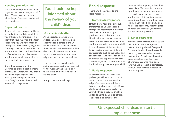# **Keeping you informed**

You should be kept informed at all stages of the review into your child's death. There may also be times when the professionals need to ask you questions.

# **Expected deaths**

If your child had a long-term illness or life-limiting condition, and death was anticipated or inevitable, it is likely that your family and the team supporting you will have made an appropriate 'care pathway' together. This might include an end-of-life care plan for your child. Local health care staff or others such as hospice or hospital staff should work with you and your family to support you.

It may be necessary for the Coroner to order a post mortem examination. Otherwise, you should be able to register your child's death quickly and proceed with your family's planned funeral and memorial arrangements.

# You should be kept informed about the review of your child's death

## **Unexpected deaths**

An unexpected death is often sudden. Unexpected means not expected for example in the 24 hours before the death or before the event that led to the death. The death may have no obvious cause, such as a 'cot death', or the cause might be clear, such as an accident.

The law requires that all sudden and unexpected deaths be reported to the Coroner and the police if the cause is unknown or not of a natural cause.

A 'rapid response' will begin.

# **Rapid response**

There are three stages to the rapid response:

#### **1. Immediate response:**

*Straight away:* Your child is usually transferred to an accident and emergency department in hospital. Your child is examined by a paediatrician or other doctor and blood and other samples may be taken. You are asked what happened and for information about your child by a professional at the hospital. Initial meetings between different professionals, such as the police and paediatrician, take place. You should be offered the opportunity to have a memento, such as a lock of hair or hand and foot prints from your child.

# **2. Early response:**

*Usually within the first week: The* pathologist will be asked to carry out a post mortem examination. All professionals involved share information about your child. If your child died at home, particularly if your child was a baby, you will be visited at home by a police officer. Their role is to eliminate the

possibility that anything unlawful has taken place. You may also be visited by a doctor or nurse to see where the death happened, and to ask you for more detailed information. Sometimes these visits will be made jointly. If your child died away from home, the police may visit the place of death and may visit you later to ask you further questions.

# **3. Later response:**

*From one week onwards, usually several months later:* More background information is gathered if required, for example school health records, maternity notes or other relevant information. A final case discussion takes place between the group of professionals who have been involved and a report is completed. The Coroner decides whether to hold an inquest.

# Unexpected child deaths start a rapid response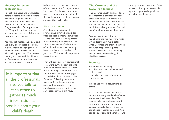# **Meetings between professionals**

For both expected and unexpected deaths, doctors, nurses and others involved with your child will talk to each other to establish the facts about why your child died. They should also offer support to you. They will consider how the procedures at the time of death and afterwards were managed.

You may not get feedback from each and every one of these discussions, but you should be kept generally informed about the review and what will happen next. The person keeping you informed should be a professional whom you have met, perhaps someone you knew

It is important that all the professionals involved talk to each other to gather as much information as possible about your child's death

before your child died, or a police officer. Information from you is very important. Get in touch with your named contact at the beginning of this leaflet at any time if you think of anything that might help.

## **Case discussion**

A final meeting between all professionals involved takes place after the post mortem examination results are complete. The purpose of this meeting is to review all the information to identify the cause of death and any factors that may have contributed to the death of your child. This may help to prevent future tragedies.

They will consider how professional roles were carried out at the time of death and afterwards. A report of the meeting is sent to the Child Death Overview Panel (see page 12) and should also be sent to the Coroner. Following the meeting someone from the team should meet with you to discuss the conclusions reached and to answer any questions you might have.

# **The Coroner and the Coroner's Inquest**

The Coroner usually arranges for a post mortem examination to take place for unexpected deaths. An inquest is held if the cause of death remains uncertain, or if the cause of death is not thought to be a 'natural cause', such as a fatal road accident.

You may want to ask for the leaflet *Coroners and Inquests: a guide* which describes in more detail what Coroners and their officers do. and what happens at inquests. It is also available at the following web address: www.fsid.org.uk/ childdeathreview

#### **Inquests**

An inquest is an inquiry to:

- confirm who has died, when and where; and
- establish the cause of death, in broad terms.

It does not involve accusations or blame.

If the Coroner decides to hold an inquest you are given details of when and where it will take place. You may be called as a witness, in which case you must attend the inquest. If you are not called as a witness you can choose whether to attend. You can ask questions at the inquest, and

you may be asked questions. Other professionals may be present. An inquest is open to the public and journalists may be present.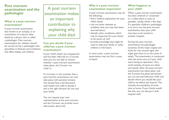# **Post mortem examination and the pathologist**

# **What is a post mortem examination?**

A post mortem examination, also known as an autopsy, is an examination of a person after death by a doctor who is called a pathologist. Post mortem examinations for children should be carried out by a pathologist who specialises in illnesses and conditions that affect babies and children.

A post mortem examination makes an important contribution to explaining why your child died

# **Can you decide if your child has a post mortem examination?**

If your child's death was unexpected and has been referred to a Coroner then you are not able to choose whether a post mortem examination takes place; the Coroner can order it.

If a Coroner is not involved, then a post mortem examination can only take place with parental consent. You should have a full discussion with health care staff to decide if this is the right decision for you and your family.

You can request your own representation at the post mortem, and the Coroner can provide more information about this.

# **Why is a post mortem examination important?**

A post mortem examination may do the following:

- find a medical explanation for your child's death;
- rule out other diseases or problems that you may have been worried about;
- identify other conditions which may be important for your family to be aware of; and
- provide knowledge that might be used to help your family or other children in the future.

In some cases, a post mortem examination may not find a cause of death.

# **What happens to your child?**

When a post mortem examination has been ordered or consented to, it takes place as soon as possible, usually within a few days. If a specialist children's pathologist is to carry out the post mortem examination then your child may have to be moved to another hospital.

During the post mortem examination the pathologist examines all the major organs and looks for any unusual signs that might give clues as to the cause of death. The examination is conducted with the same care as if your child were having an operation. Very small samples of tissue are taken and tested. After the post mortem examination has taken place, and the Coroner has given permission, you can see and hold your child, and decide where you would like your child to be before the funeral. This includes the possibility of some time at home. If your family would like this, you can discuss it with hospital staff.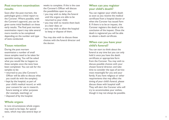# **Post mortem examination results**

Soon after the post mortem, the pathologist gives a initial report to the Coroner. Where possible, with the Coroner's approval, you can be given some initial feedback on these early results. The final post mortem examination report may take several more months to be completed depending on the number and type of tests conducted.

## **Tissue retention**

During the post mortem examination a number of small tissue samples need to be taken for specialist testing. You will be asked what you would like to happen to these samples once the tests have been completed. You can ask for the samples to be:

- returned to you (the Coroner's Officer will be able to discuss what you could do with the samples);
- kept by the hospital, as part of your child's medical record, or with your consent for use in research, future testing or other purposes (for example, teaching); or
- disposed of by the hospital.

# **Whole organs**

In rare circumstances whole organs may need to be kept, for special tests, which may take several days or weeks to complete. If this is the case the Coroner's Officer will discuss the possibilities open to you:

- you may wish to delay the funeral until the organs are able to be returned to your child;
- you may wish to receive them back at a later date; or
- you may wish to allow the hospital to keep or dispose of them.

You may also wish to discuss these choices with the funeral director and the doctor.

# **When can you register your child's death?**

You can register your child's death as soon as you receive the medical certificate from a hospital doctor or when the Coroner has issued *Form*<br>*B*. If there is to be an inquest, the Coroner registers the death at the conclusion of the inquest. Once the death is registered you will be able to obtain a death certificate.

## **When can you have your child's funeral?**

You can start to think about the funeral at any time but you can only hold it once you have the death certificate or appropriate form from the Coroner. You may wish to discuss possible choices with your chosen funeral director, and take time to consider the type of service most meaningful for you and your family. If you have religious or other requirements that may affect the timing of your child's funeral, please discuss these with hospital staff. They will alert the Coroner who will try to accommodate your wishes, though it may not always be possible.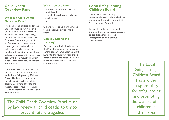# **Child Death Overview Panel**

# **What is a Child Death Overview Panel?**

The death of all children under the age of 18 must be reviewed by a Child Death Overview Panel on behalf of the Local Safeguarding Children Board. The Child Death Overview Panels are groups of professionals who meet several times a year to review all the child deaths in their area. The Panel is not given the names of any children who died; all the details are dealt with anonymously. The main purpose is to learn how to prevent future deaths.

The Panels make recommendations and report on the lessons learned to the Local Safeguarding Children Board. The Board produces an annual report which is a public document. Anyone can read the report, but it contains no details that could identify an individual child or their family.

# **Who is on the Panel?**

The Panel has representatives from: • public health;

- local child health and social care services; and
- police.

Other professionals may be invited to give specialist advice where needed.

# **Can you attend the meeting?**

Parents are not invited to be part of the Panel but you may be invited to contribute any comments you might have into the review of your child's death. Contact the person named at the start of this leaflet if you would like to do this.

# **Local Safeguarding Children Board**

The Board makes sure any recommendations made by the Panel are sent to those with responsibility for taking them forward.

In a small number of child deaths, the Board may decide it is necessary to conduct a more detailed investigation called a Serious Case Review.

The Child Death Overview Panel must by law review all child deaths to try to prevent future tragedies

The Local Safeguarding Children Board has a wider responsibility for safeguarding and promoting the welfare of all children in their area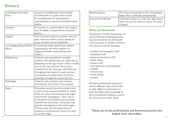# **Glossary**

| <b>Child Death Overview</b><br>Panel        | A group of professionals who consider<br>all child deaths in a given area to look<br>for possible patterns and potential<br>improvements in services to prevent future<br>deaths.                                                                                                                                                                                                                                                   |
|---------------------------------------------|-------------------------------------------------------------------------------------------------------------------------------------------------------------------------------------------------------------------------------------------------------------------------------------------------------------------------------------------------------------------------------------------------------------------------------------|
| Coroner                                     | A Coroner is a judicial officer who inquires<br>into all sudden, unexpected or unnatural<br>deaths.                                                                                                                                                                                                                                                                                                                                 |
| Inquest                                     | The Coroner's inquiry to confirm who has<br>died, when and where, and to decide if a<br>cause of death can be established.                                                                                                                                                                                                                                                                                                          |
| Local Safeguarding Children<br><b>Board</b> | A local body which agrees how relevant<br>organisations will work together to<br>safeguard children and promote their<br>welfare.                                                                                                                                                                                                                                                                                                   |
| Paediatrician                               | A doctor who specialises in treating<br>children. The paediatrician (or other doctor<br>depending on the age of your child) is usually<br>one of your key contacts. He or she is<br>involved from the time your child dies and<br>throughout the review. If a post mortem<br>examination has taken place the doctor<br>should go through the results with you.                                                                      |
| Pathologist                                 | A doctor who conducts post mortem<br>examination, also known as an autopsy.                                                                                                                                                                                                                                                                                                                                                         |
| Police                                      | The police must by law be involved in the<br>review of any unexpected death or where<br>there are other circumstances that might<br>need further investigation. Their role is<br>to eliminate the possibility that anything<br>unlawful has taken place. The police may<br>lead the investigation in the initial stages<br>of most cases and will always do so if<br>suspicious circumstances cannot be ruled<br>out at that stage. |

| Rapid response             | The series of procedures that automatically<br>begin when a child dies unexpectedly.                   |
|----------------------------|--------------------------------------------------------------------------------------------------------|
| <b>Serious Case Review</b> | A detailed review of a child who died where<br>there are serious concerns about the cause<br>of death. |

#### **Other professionals**

The glossary includes descriptions of some of the key professionals who may be involved in the child death review process. A number of others may also be involved, including:

- accident and emergency staff
- ambulance staff
- general practitioner (GP)
- health visitor
- hospice staff
- local authority representatives
- midwife
- school nurse
- social worker
- teacher.

All these professionals know your child in different ways and are able to offer different information to build the fullest picture possible of the circumstances leading to, and at the time of, your child's death.

**Thank you to the professionals and bereaved parents who helped write this leaflet.**